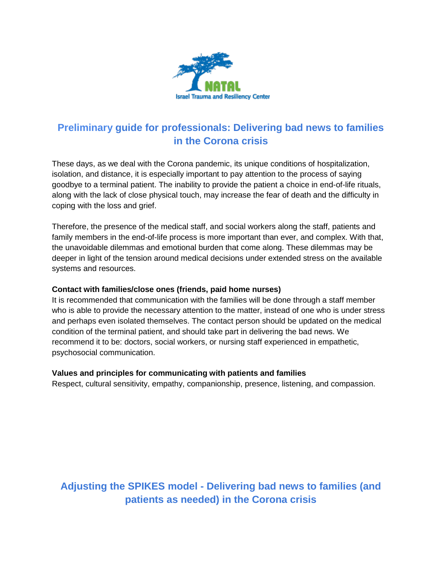

# **Preliminary guide for professionals: Delivering bad news to families in the Corona crisis**

These days, as we deal with the Corona pandemic, its unique conditions of hospitalization, isolation, and distance, it is especially important to pay attention to the process of saying goodbye to a terminal patient. The inability to provide the patient a choice in end-of-life rituals, along with the lack of close physical touch, may increase the fear of death and the difficulty in coping with the loss and grief.

Therefore, the presence of the medical staff, and social workers along the staff, patients and family members in the end-of-life process is more important than ever, and complex. With that, the unavoidable dilemmas and emotional burden that come along. These dilemmas may be deeper in light of the tension around medical decisions under extended stress on the available systems and resources.

#### **Contact with families/close ones (friends, paid home nurses)**

It is recommended that communication with the families will be done through a staff member who is able to provide the necessary attention to the matter, instead of one who is under stress and perhaps even isolated themselves. The contact person should be updated on the medical condition of the terminal patient, and should take part in delivering the bad news. We recommend it to be: doctors, social workers, or nursing staff experienced in empathetic, psychosocial communication.

#### **Values and principles for communicating with patients and families**

Respect, cultural sensitivity, empathy, companionship, presence, listening, and compassion.

# **Adjusting the SPIKES model - Delivering bad news to families (and patients as needed) in the Corona crisis**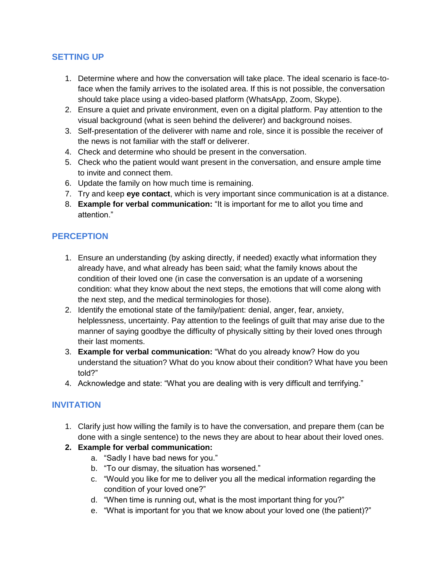## **SETTING UP**

- 1. Determine where and how the conversation will take place. The ideal scenario is face-toface when the family arrives to the isolated area. If this is not possible, the conversation should take place using a video-based platform (WhatsApp, Zoom, Skype).
- 2. Ensure a quiet and private environment, even on a digital platform. Pay attention to the visual background (what is seen behind the deliverer) and background noises.
- 3. Self-presentation of the deliverer with name and role, since it is possible the receiver of the news is not familiar with the staff or deliverer.
- 4. Check and determine who should be present in the conversation.
- 5. Check who the patient would want present in the conversation, and ensure ample time to invite and connect them.
- 6. Update the family on how much time is remaining.
- 7. Try and keep **eye contact**, which is very important since communication is at a distance.
- 8. **Example for verbal communication:** "It is important for me to allot you time and attention."

# **PERCEPTION**

- 1. Ensure an understanding (by asking directly, if needed) exactly what information they already have, and what already has been said; what the family knows about the condition of their loved one (in case the conversation is an update of a worsening condition: what they know about the next steps, the emotions that will come along with the next step, and the medical terminologies for those).
- 2. Identify the emotional state of the family/patient: denial, anger, fear, anxiety, helplessness, uncertainty. Pay attention to the feelings of guilt that may arise due to the manner of saying goodbye the difficulty of physically sitting by their loved ones through their last moments.
- 3. **Example for verbal communication:** "What do you already know? How do you understand the situation? What do you know about their condition? What have you been told?"
- 4. Acknowledge and state: "What you are dealing with is very difficult and terrifying."

# **INVITATION**

1. Clarify just how willing the family is to have the conversation, and prepare them (can be done with a single sentence) to the news they are about to hear about their loved ones.

## **2. Example for verbal communication:**

- a. "Sadly I have bad news for you."
- b. "To our dismay, the situation has worsened."
- c. "Would you like for me to deliver you all the medical information regarding the condition of your loved one?"
- d. "When time is running out, what is the most important thing for you?"
- e. "What is important for you that we know about your loved one (the patient)?"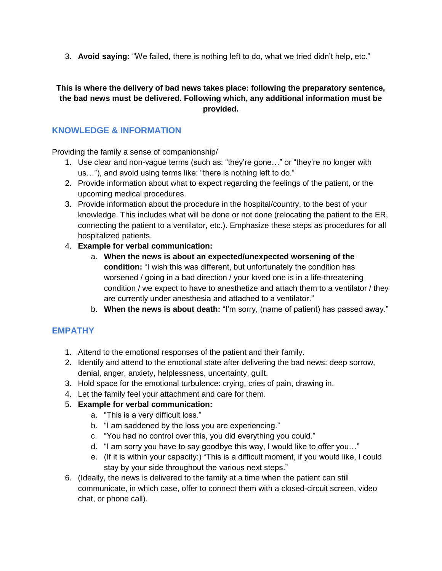3. **Avoid saying:** "We failed, there is nothing left to do, what we tried didn't help, etc."

#### **This is where the delivery of bad news takes place: following the preparatory sentence, the bad news must be delivered. Following which, any additional information must be provided.**

## **KNOWLEDGE & INFORMATION**

Providing the family a sense of companionship/

- 1. Use clear and non-vague terms (such as: "they're gone…" or "they're no longer with us…"), and avoid using terms like: "there is nothing left to do."
- 2. Provide information about what to expect regarding the feelings of the patient, or the upcoming medical procedures.
- 3. Provide information about the procedure in the hospital/country, to the best of your knowledge. This includes what will be done or not done (relocating the patient to the ER, connecting the patient to a ventilator, etc.). Emphasize these steps as procedures for all hospitalized patients.
- 4. **Example for verbal communication:**
	- a. **When the news is about an expected/unexpected worsening of the condition:** "I wish this was different, but unfortunately the condition has worsened / going in a bad direction / your loved one is in a life-threatening condition / we expect to have to anesthetize and attach them to a ventilator / they are currently under anesthesia and attached to a ventilator."
	- b. **When the news is about death:** "I'm sorry, (name of patient) has passed away."

## **EMPATHY**

- 1. Attend to the emotional responses of the patient and their family.
- 2. Identify and attend to the emotional state after delivering the bad news: deep sorrow, denial, anger, anxiety, helplessness, uncertainty, guilt.
- 3. Hold space for the emotional turbulence: crying, cries of pain, drawing in.
- 4. Let the family feel your attachment and care for them.
- 5. **Example for verbal communication:**
	- a. "This is a very difficult loss."
	- b. "I am saddened by the loss you are experiencing."
	- c. "You had no control over this, you did everything you could."
	- d. "I am sorry you have to say goodbye this way, I would like to offer you…"
	- e. (If it is within your capacity:) "This is a difficult moment, if you would like, I could stay by your side throughout the various next steps."
- 6. (Ideally, the news is delivered to the family at a time when the patient can still communicate, in which case, offer to connect them with a closed-circuit screen, video chat, or phone call).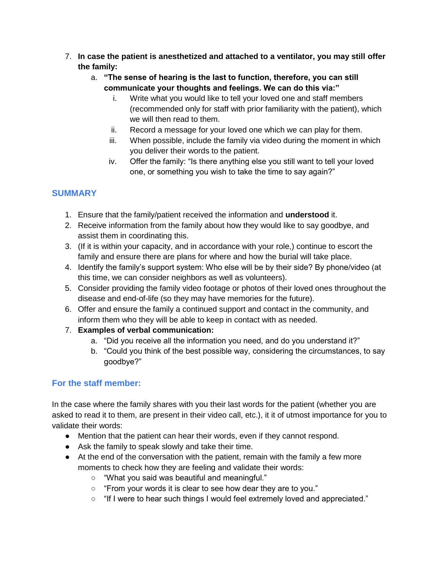- 7. **In case the patient is anesthetized and attached to a ventilator, you may still offer the family:**
	- a. **"The sense of hearing is the last to function, therefore, you can still communicate your thoughts and feelings. We can do this via:"**
		- i. Write what you would like to tell your loved one and staff members (recommended only for staff with prior familiarity with the patient), which we will then read to them.
		- ii. Record a message for your loved one which we can play for them.
		- iii. When possible, include the family via video during the moment in which you deliver their words to the patient.
		- iv. Offer the family: "Is there anything else you still want to tell your loved one, or something you wish to take the time to say again?"

# **SUMMARY**

- 1. Ensure that the family/patient received the information and **understood** it.
- 2. Receive information from the family about how they would like to say goodbye, and assist them in coordinating this.
- 3. (If it is within your capacity, and in accordance with your role,) continue to escort the family and ensure there are plans for where and how the burial will take place.
- 4. Identify the family's support system: Who else will be by their side? By phone/video (at this time, we can consider neighbors as well as volunteers).
- 5. Consider providing the family video footage or photos of their loved ones throughout the disease and end-of-life (so they may have memories for the future).
- 6. Offer and ensure the family a continued support and contact in the community, and inform them who they will be able to keep in contact with as needed.
- 7. **Examples of verbal communication:** 
	- a. "Did you receive all the information you need, and do you understand it?"
	- b. "Could you think of the best possible way, considering the circumstances, to say goodbye?"

## **For the staff member:**

In the case where the family shares with you their last words for the patient (whether you are asked to read it to them, are present in their video call, etc.), it it of utmost importance for you to validate their words:

- Mention that the patient can hear their words, even if they cannot respond.
- Ask the family to speak slowly and take their time.
- At the end of the conversation with the patient, remain with the family a few more moments to check how they are feeling and validate their words:
	- "What you said was beautiful and meaningful."
	- "From your words it is clear to see how dear they are to you."
	- "If I were to hear such things I would feel extremely loved and appreciated."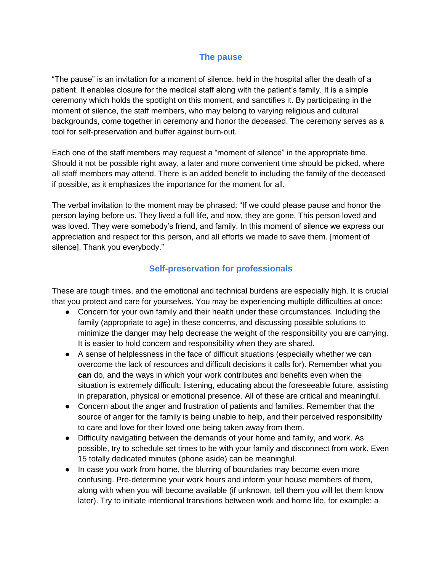#### **The pause**

"The pause" is an invitation for a moment of silence, held in the hospital after the death of a patient. It enables closure for the medical staff along with the patient's family. It is a simple ceremony which holds the spotlight on this moment, and sanctifies it. By participating in the moment of silence, the staff members, who may belong to varying religious and cultural backgrounds, come together in ceremony and honor the deceased. The ceremony serves as a tool for self-preservation and buffer against burn-out.

Each one of the staff members may request a "moment of silence" in the appropriate time. Should it not be possible right away, a later and more convenient time should be picked, where all staff members may attend. There is an added benefit to including the family of the deceased if possible, as it emphasizes the importance for the moment for all.

The verbal invitation to the moment may be phrased: "If we could please pause and honor the person laying before us. They lived a full life, and now, they are gone. This person loved and was loved. They were somebody's friend, and family. In this moment of silence we express our appreciation and respect for this person, and all efforts we made to save them. [moment of silence]. Thank you everybody."

#### **Self-preservation for professionals**

These are tough times, and the emotional and technical burdens are especially high. It is crucial that you protect and care for yourselves. You may be experiencing multiple difficulties at once:

- Concern for your own family and their health under these circumstances. Including the family (appropriate to age) in these concerns, and discussing possible solutions to minimize the danger may help decrease the weight of the responsibility you are carrying. It is easier to hold concern and responsibility when they are shared.
- A sense of helplessness in the face of difficult situations (especially whether we can overcome the lack of resources and difficult decisions it calls for). Remember what you **can** do, and the ways in which your work contributes and benefits even when the situation is extremely difficult: listening, educating about the foreseeable future, assisting in preparation, physical or emotional presence. All of these are critical and meaningful.
- Concern about the anger and frustration of patients and families. Remember that the source of anger for the family is being unable to help, and their perceived responsibility to care and love for their loved one being taken away from them.
- Difficulty navigating between the demands of your home and family, and work. As possible, try to schedule set times to be with your family and disconnect from work. Even 15 totally dedicated minutes (phone aside) can be meaningful.
- In case you work from home, the blurring of boundaries may become even more confusing. Pre-determine your work hours and inform your house members of them, along with when you will become available (if unknown, tell them you will let them know later). Try to initiate intentional transitions between work and home life, for example: a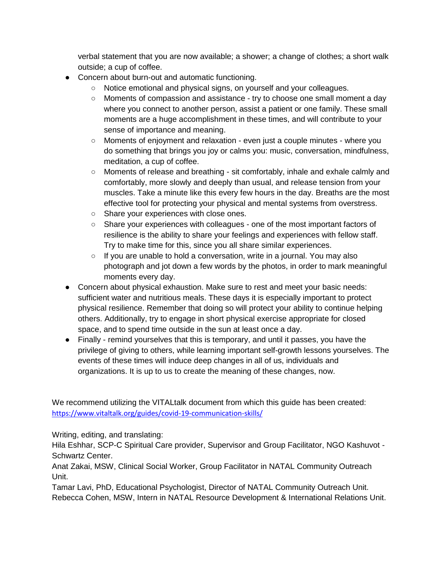verbal statement that you are now available; a shower; a change of clothes; a short walk outside; a cup of coffee.

- Concern about burn-out and automatic functioning.
	- Notice emotional and physical signs, on yourself and your colleagues.
	- Moments of compassion and assistance try to choose one small moment a day where you connect to another person, assist a patient or one family. These small moments are a huge accomplishment in these times, and will contribute to your sense of importance and meaning.
	- Moments of enjoyment and relaxation even just a couple minutes where you do something that brings you joy or calms you: music, conversation, mindfulness, meditation, a cup of coffee.
	- Moments of release and breathing sit comfortably, inhale and exhale calmly and comfortably, more slowly and deeply than usual, and release tension from your muscles. Take a minute like this every few hours in the day. Breaths are the most effective tool for protecting your physical and mental systems from overstress.
	- Share your experiences with close ones.
	- Share your experiences with colleagues one of the most important factors of resilience is the ability to share your feelings and experiences with fellow staff. Try to make time for this, since you all share similar experiences.
	- If you are unable to hold a conversation, write in a journal. You may also photograph and jot down a few words by the photos, in order to mark meaningful moments every day.
- Concern about physical exhaustion. Make sure to rest and meet your basic needs: sufficient water and nutritious meals. These days it is especially important to protect physical resilience. Remember that doing so will protect your ability to continue helping others. Additionally, try to engage in short physical exercise appropriate for closed space, and to spend time outside in the sun at least once a day.
- Finally remind yourselves that this is temporary, and until it passes, you have the privilege of giving to others, while learning important self-growth lessons yourselves. The events of these times will induce deep changes in all of us, individuals and organizations. It is up to us to create the meaning of these changes, now.

We recommend utilizing the VITALtalk document from which this guide has been created: <https://www.vitaltalk.org/guides/covid-19-communication-skills/>

Writing, editing, and translating:

Hila Eshhar, SCP-C Spiritual Care provider, Supervisor and Group Facilitator, NGO Kashuvot - Schwartz Center.

Anat Zakai, MSW, Clinical Social Worker, Group Facilitator in NATAL Community Outreach Unit.

Tamar Lavi, PhD, Educational Psychologist, Director of NATAL Community Outreach Unit. Rebecca Cohen, MSW, Intern in NATAL Resource Development & International Relations Unit.